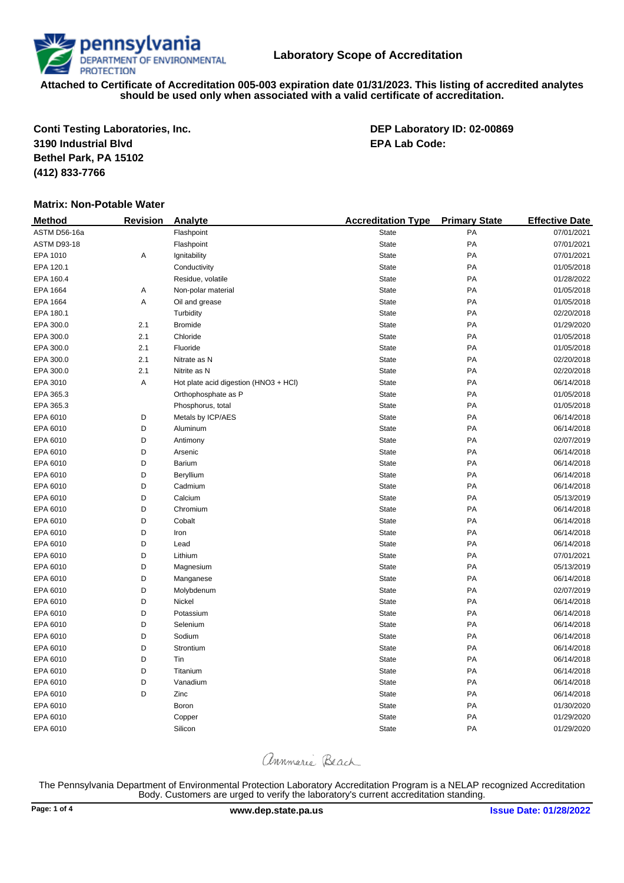**Conti Testing Laboratories, Inc. DEP Laboratory ID: 02-00869 3190 Industrial Blvd EPA Lab Code: Bethel Park, PA 15102 (412) 833-7766**

## **Matrix: Non-Potable Water**

| <b>Method</b>      | <b>Revision</b> | Analyte                               | <b>Accreditation Type</b> | <b>Primary State</b> | <b>Effective Date</b> |
|--------------------|-----------------|---------------------------------------|---------------------------|----------------------|-----------------------|
| ASTM D56-16a       |                 | Flashpoint                            | <b>State</b>              | PA                   | 07/01/2021            |
| <b>ASTM D93-18</b> |                 | Flashpoint                            | <b>State</b>              | PA                   | 07/01/2021            |
| EPA 1010           | Α               | Ignitability                          | <b>State</b>              | PA                   | 07/01/2021            |
| EPA 120.1          |                 | Conductivity                          | <b>State</b>              | PA                   | 01/05/2018            |
| EPA 160.4          |                 | Residue, volatile                     | <b>State</b>              | PA                   | 01/28/2022            |
| EPA 1664           | Α               | Non-polar material                    | <b>State</b>              | PA                   | 01/05/2018            |
| EPA 1664           | Α               | Oil and grease                        | <b>State</b>              | PA                   | 01/05/2018            |
| EPA 180.1          |                 | Turbidity                             | <b>State</b>              | PA                   | 02/20/2018            |
| EPA 300.0          | 2.1             | <b>Bromide</b>                        | <b>State</b>              | PA                   | 01/29/2020            |
| EPA 300.0          | 2.1             | Chloride                              | <b>State</b>              | PA                   | 01/05/2018            |
| EPA 300.0          | 2.1             | Fluoride                              | <b>State</b>              | PA                   | 01/05/2018            |
| EPA 300.0          | 2.1             | Nitrate as N                          | <b>State</b>              | PA                   | 02/20/2018            |
| EPA 300.0          | 2.1             | Nitrite as N                          | <b>State</b>              | PA                   | 02/20/2018            |
| EPA 3010           | А               | Hot plate acid digestion (HNO3 + HCl) | <b>State</b>              | PA                   | 06/14/2018            |
| EPA 365.3          |                 | Orthophosphate as P                   | <b>State</b>              | PA                   | 01/05/2018            |
| EPA 365.3          |                 | Phosphorus, total                     | <b>State</b>              | PA                   | 01/05/2018            |
| EPA 6010           | D               | Metals by ICP/AES                     | <b>State</b>              | PA                   | 06/14/2018            |
| EPA 6010           | D               | Aluminum                              | <b>State</b>              | PA                   | 06/14/2018            |
| EPA 6010           | D               | Antimony                              | <b>State</b>              | PA                   | 02/07/2019            |
| EPA 6010           | D               | Arsenic                               | <b>State</b>              | PA                   | 06/14/2018            |
| EPA 6010           | D               | Barium                                | <b>State</b>              | PA                   | 06/14/2018            |
| EPA 6010           | D               | Beryllium                             | <b>State</b>              | PA                   | 06/14/2018            |
| EPA 6010           | D               | Cadmium                               | <b>State</b>              | PA                   | 06/14/2018            |
| EPA 6010           | D               | Calcium                               | <b>State</b>              | PA                   | 05/13/2019            |
| EPA 6010           | D               | Chromium                              | <b>State</b>              | PA                   | 06/14/2018            |
| EPA 6010           | D               | Cobalt                                | <b>State</b>              | PA                   | 06/14/2018            |
| EPA 6010           | D               | Iron                                  | <b>State</b>              | PA                   | 06/14/2018            |
| EPA 6010           | D               | Lead                                  | <b>State</b>              | PA                   | 06/14/2018            |
| EPA 6010           | D               | Lithium                               | <b>State</b>              | PA                   | 07/01/2021            |
| EPA 6010           | D               | Magnesium                             | <b>State</b>              | PA                   | 05/13/2019            |
| EPA 6010           | D               | Manganese                             | <b>State</b>              | PA                   | 06/14/2018            |
| EPA 6010           | D               | Molybdenum                            | <b>State</b>              | PA                   | 02/07/2019            |
| EPA 6010           | D               | Nickel                                | <b>State</b>              | PA                   | 06/14/2018            |
| EPA 6010           | D               | Potassium                             | <b>State</b>              | PA                   | 06/14/2018            |
| EPA 6010           | D               | Selenium                              | <b>State</b>              | PA                   | 06/14/2018            |
| EPA 6010           | D               | Sodium                                | <b>State</b>              | PA                   | 06/14/2018            |
| EPA 6010           | D               | Strontium                             | <b>State</b>              | PA                   | 06/14/2018            |
| EPA 6010           | D               | Tin                                   | <b>State</b>              | PA                   | 06/14/2018            |
| EPA 6010           | D               | Titanium                              | <b>State</b>              | PA                   | 06/14/2018            |
| EPA 6010           | D               | Vanadium                              | <b>State</b>              | PA                   | 06/14/2018            |
| EPA 6010           | D               | Zinc                                  | <b>State</b>              | PA                   | 06/14/2018            |
| EPA 6010           |                 | Boron                                 | <b>State</b>              | PA                   | 01/30/2020            |
| EPA 6010           |                 | Copper                                | <b>State</b>              | PA                   | 01/29/2020            |
| EPA 6010           |                 | Silicon                               | <b>State</b>              | PA                   | 01/29/2020            |

annmarie Beach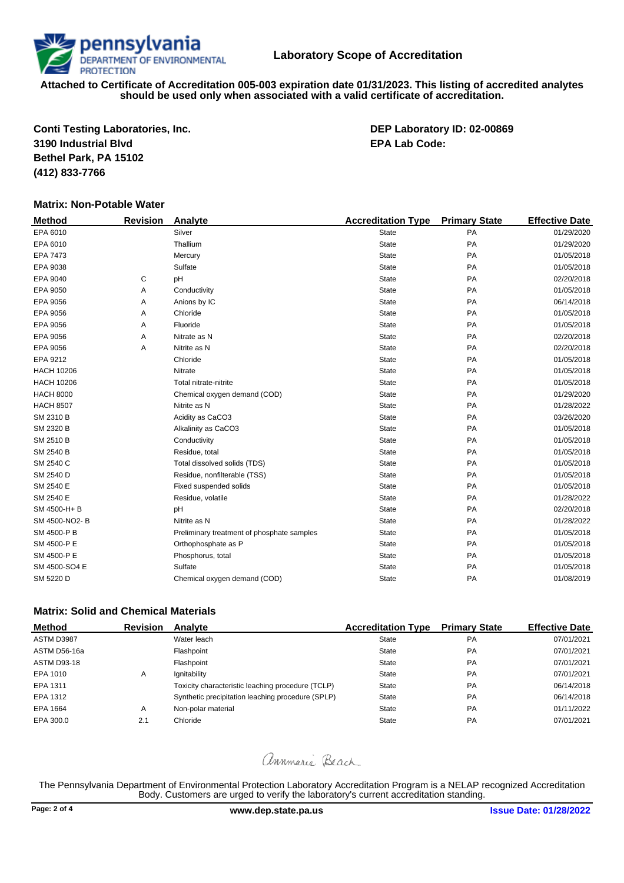**Conti Testing Laboratories, Inc. DEP Laboratory ID: 02-00869 3190 Industrial Blvd EPA Lab Code: Bethel Park, PA 15102 (412) 833-7766**

## **Matrix: Non-Potable Water**

| <b>Method</b>     | <b>Revision</b> | Analyte                                    | <b>Accreditation Type</b> | <b>Primary State</b> | <b>Effective Date</b> |
|-------------------|-----------------|--------------------------------------------|---------------------------|----------------------|-----------------------|
| EPA 6010          |                 | Silver                                     | <b>State</b>              | PA                   | 01/29/2020            |
| EPA 6010          |                 | Thallium                                   | <b>State</b>              | PA                   | 01/29/2020            |
| EPA 7473          |                 | Mercury                                    | <b>State</b>              | <b>PA</b>            | 01/05/2018            |
| EPA 9038          |                 | Sulfate                                    | <b>State</b>              | PA                   | 01/05/2018            |
| EPA 9040          | С               | pH                                         | <b>State</b>              | PA                   | 02/20/2018            |
| EPA 9050          | Α               | Conductivity                               | <b>State</b>              | PA                   | 01/05/2018            |
| EPA 9056          | Α               | Anions by IC                               | <b>State</b>              | PA                   | 06/14/2018            |
| EPA 9056          | Α               | Chloride                                   | <b>State</b>              | PA                   | 01/05/2018            |
| EPA 9056          | Α               | Fluoride                                   | <b>State</b>              | PA                   | 01/05/2018            |
| EPA 9056          | Α               | Nitrate as N                               | <b>State</b>              | <b>PA</b>            | 02/20/2018            |
| EPA 9056          | Α               | Nitrite as N                               | <b>State</b>              | PA                   | 02/20/2018            |
| EPA 9212          |                 | Chloride                                   | <b>State</b>              | PA                   | 01/05/2018            |
| <b>HACH 10206</b> |                 | Nitrate                                    | <b>State</b>              | PA                   | 01/05/2018            |
| <b>HACH 10206</b> |                 | Total nitrate-nitrite                      | <b>State</b>              | PA                   | 01/05/2018            |
| <b>HACH 8000</b>  |                 | Chemical oxygen demand (COD)               | <b>State</b>              | PA                   | 01/29/2020            |
| <b>HACH 8507</b>  |                 | Nitrite as N                               | <b>State</b>              | PA                   | 01/28/2022            |
| SM 2310 B         |                 | Acidity as CaCO3                           | <b>State</b>              | PA                   | 03/26/2020            |
| SM 2320 B         |                 | Alkalinity as CaCO3                        | <b>State</b>              | PA                   | 01/05/2018            |
| SM 2510 B         |                 | Conductivity                               | <b>State</b>              | PA                   | 01/05/2018            |
| SM 2540 B         |                 | Residue, total                             | <b>State</b>              | PA                   | 01/05/2018            |
| SM 2540 C         |                 | Total dissolved solids (TDS)               | <b>State</b>              | <b>PA</b>            | 01/05/2018            |
| SM 2540 D         |                 | Residue, nonfilterable (TSS)               | <b>State</b>              | PA                   | 01/05/2018            |
| SM 2540 E         |                 | Fixed suspended solids                     | <b>State</b>              | PA                   | 01/05/2018            |
| SM 2540 E         |                 | Residue, volatile                          | <b>State</b>              | PA                   | 01/28/2022            |
| SM 4500-H+B       |                 | pH                                         | <b>State</b>              | PA                   | 02/20/2018            |
| SM 4500-NO2-B     |                 | Nitrite as N                               | <b>State</b>              | PA                   | 01/28/2022            |
| SM 4500-P B       |                 | Preliminary treatment of phosphate samples | <b>State</b>              | PA                   | 01/05/2018            |
| SM 4500-P E       |                 | Orthophosphate as P                        | <b>State</b>              | <b>PA</b>            | 01/05/2018            |
| SM 4500-P E       |                 | Phosphorus, total                          | <b>State</b>              | PA                   | 01/05/2018            |
| SM 4500-SO4 E     |                 | Sulfate                                    | <b>State</b>              | PA                   | 01/05/2018            |
| SM 5220 D         |                 | Chemical oxygen demand (COD)               | <b>State</b>              | PA                   | 01/08/2019            |
|                   |                 |                                            |                           |                      |                       |

# **Matrix: Solid and Chemical Materials**

| <b>Method</b>      | <b>Revision</b> | Analyte                                           | <b>Accreditation Type</b> | <b>Primary State</b> | <b>Effective Date</b> |
|--------------------|-----------------|---------------------------------------------------|---------------------------|----------------------|-----------------------|
| ASTM D3987         |                 | Water leach                                       | <b>State</b>              | <b>PA</b>            | 07/01/2021            |
| ASTM D56-16a       |                 | Flashpoint                                        | State                     | <b>PA</b>            | 07/01/2021            |
| <b>ASTM D93-18</b> |                 | Flashpoint                                        | State                     | PA                   | 07/01/2021            |
| EPA 1010           | A               | lgnitability                                      | State                     | PA                   | 07/01/2021            |
| EPA 1311           |                 | Toxicity characteristic leaching procedure (TCLP) | State                     | <b>PA</b>            | 06/14/2018            |
| EPA 1312           |                 | Synthetic precipitation leaching procedure (SPLP) | State                     | <b>PA</b>            | 06/14/2018            |
| EPA 1664           | A               | Non-polar material                                | State                     | <b>PA</b>            | 01/11/2022            |
| EPA 300.0          | 2.1             | Chloride                                          | <b>State</b>              | <b>PA</b>            | 07/01/2021            |

# annmarie Beach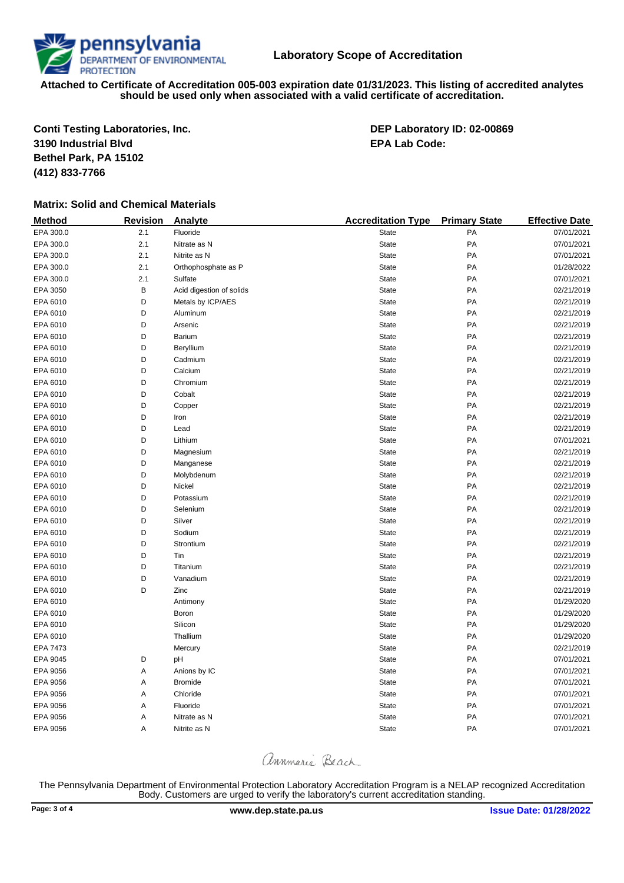**Conti Testing Laboratories, Inc. DEP Laboratory ID: 02-00869 3190 Industrial Blvd EPA Lab Code: Bethel Park, PA 15102 (412) 833-7766**

# **Matrix: Solid and Chemical Materials**

| <b>Method</b> | <b>Revision</b> | Analyte                  | <b>Accreditation Type</b> | <b>Primary State</b> | <b>Effective Date</b> |
|---------------|-----------------|--------------------------|---------------------------|----------------------|-----------------------|
| EPA 300.0     | 2.1             | Fluoride                 | State                     | PA                   | 07/01/2021            |
| EPA 300.0     | 2.1             | Nitrate as N             | State                     | PA                   | 07/01/2021            |
| EPA 300.0     | 2.1             | Nitrite as N             | State                     | PA                   | 07/01/2021            |
| EPA 300.0     | 2.1             | Orthophosphate as P      | State                     | PA                   | 01/28/2022            |
| EPA 300.0     | 2.1             | Sulfate                  | State                     | PA                   | 07/01/2021            |
| EPA 3050      | В               | Acid digestion of solids | State                     | PA                   | 02/21/2019            |
| EPA 6010      | D               | Metals by ICP/AES        | State                     | PA                   | 02/21/2019            |
| EPA 6010      | D               | Aluminum                 | State                     | PA                   | 02/21/2019            |
| EPA 6010      | D               | Arsenic                  | State                     | PA                   | 02/21/2019            |
| EPA 6010      | D               | Barium                   | State                     | PA                   | 02/21/2019            |
| EPA 6010      | D               | Beryllium                | State                     | PA                   | 02/21/2019            |
| EPA 6010      | D               | Cadmium                  | State                     | PA                   | 02/21/2019            |
| EPA 6010      | D               | Calcium                  | State                     | PA                   | 02/21/2019            |
| EPA 6010      | D               | Chromium                 | State                     | PA                   | 02/21/2019            |
| EPA 6010      | D               | Cobalt                   | State                     | PA                   | 02/21/2019            |
| EPA 6010      | D               | Copper                   | State                     | PA                   | 02/21/2019            |
| EPA 6010      | D               | Iron                     | State                     | PA                   | 02/21/2019            |
| EPA 6010      | D               | Lead                     | State                     | PA                   | 02/21/2019            |
| EPA 6010      | D               | Lithium                  | State                     | PA                   | 07/01/2021            |
| EPA 6010      | D               | Magnesium                | State                     | PA                   | 02/21/2019            |
| EPA 6010      | D               | Manganese                | State                     | PA                   | 02/21/2019            |
| EPA 6010      | D               | Molybdenum               | State                     | PA                   | 02/21/2019            |
| EPA 6010      | D               | Nickel                   | State                     | PA                   | 02/21/2019            |
| EPA 6010      | D               | Potassium                | State                     | PA                   | 02/21/2019            |
| EPA 6010      | D               | Selenium                 | State                     | PA                   | 02/21/2019            |
| EPA 6010      | D               | Silver                   | State                     | PA                   | 02/21/2019            |
| EPA 6010      | D               | Sodium                   | State                     | PA                   | 02/21/2019            |
| EPA 6010      | D               | Strontium                | State                     | PA                   | 02/21/2019            |
| EPA 6010      | D               | Tin                      | State                     | PA                   | 02/21/2019            |
| EPA 6010      | D               | Titanium                 | State                     | PA                   | 02/21/2019            |
| EPA 6010      | D               | Vanadium                 | State                     | PA                   | 02/21/2019            |
| EPA 6010      | D               | Zinc                     | State                     | PA                   | 02/21/2019            |
| EPA 6010      |                 | Antimony                 | State                     | PA                   | 01/29/2020            |
| EPA 6010      |                 | Boron                    | State                     | PA                   | 01/29/2020            |
| EPA 6010      |                 | Silicon                  | State                     | PA                   | 01/29/2020            |
| EPA 6010      |                 | Thallium                 | State                     | PA                   | 01/29/2020            |
| EPA 7473      |                 | Mercury                  | State                     | PA                   | 02/21/2019            |
| EPA 9045      | D               | pH                       | State                     | PA                   | 07/01/2021            |
| EPA 9056      | А               | Anions by IC             | State                     | PA                   | 07/01/2021            |
| EPA 9056      | Α               | <b>Bromide</b>           | State                     | PA                   | 07/01/2021            |
| EPA 9056      | Α               | Chloride                 | State                     | PA                   | 07/01/2021            |
| EPA 9056      | Α               | Fluoride                 | State                     | PA                   | 07/01/2021            |
| EPA 9056      | Α               | Nitrate as N             | State                     | PA                   | 07/01/2021            |
| EPA 9056      | Α               | Nitrite as N             | State                     | PA                   | 07/01/2021            |

annmarie Beach